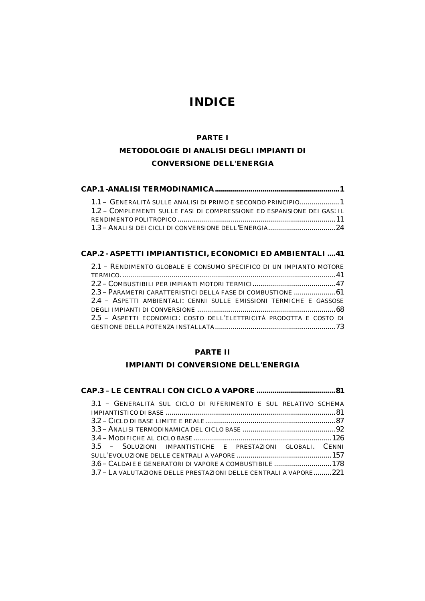# *INDICE*

#### **PARTE I**

# **METODOLOGIE DI ANALISI DEGLI IMPIANTI DI CONVERSIONE DELL'ENERGIA**

| 1.1 - GENERALITÀ SULLE ANALISI DI PRIMO E SECONDO PRINCIPIO 1          |  |
|------------------------------------------------------------------------|--|
| 1.2 - COMPLEMENTI SULLE FASI DI COMPRESSIONE ED ESPANSIONE DEI GAS: IL |  |
|                                                                        |  |
|                                                                        |  |

#### **CAP.2 - ASPETTI IMPIANTISTICI, ECONOMICI ED AMBIENTALI ....41**

| 2.1 - RENDIMENTO GLOBALE E CONSUMO SPECIFICO DI UN IMPIANTO MOTORE  |
|---------------------------------------------------------------------|
|                                                                     |
|                                                                     |
| 2.3 - PARAMETRI CARATTERISTICI DELLA FASE DI COMBUSTIONE  61        |
| 2.4 - ASPETTI AMBIENTALI: CENNI SULLE EMISSIONI TERMICHE E GASSOSE  |
|                                                                     |
| 2.5 - ASPETTI ECONOMICI: COSTO DELL'ELETTRICITÀ PRODOTTA E COSTO DI |
|                                                                     |

### **PARTE II**

# **IMPIANTI DI CONVERSIONE DELL'ENERGIA**

|--|--|--|--|

| 3.1 - GENERALITÀ SUL CICLO DI RIFERIMENTO E SUL RELATIVO SCHEMA   |  |
|-------------------------------------------------------------------|--|
|                                                                   |  |
|                                                                   |  |
|                                                                   |  |
|                                                                   |  |
| 3.5 - SOLUZIONI IMPANTISTICHE E PRESTAZIONI GLOBALI. CENNI        |  |
|                                                                   |  |
| 3.6 – CALDAIE E GENERATORI DI VAPORE A COMBUSTIBILE  178          |  |
| 3.7 – LA VALUTAZIONE DELLE PRESTAZIONI DELLE CENTRALI A VAPORE221 |  |
|                                                                   |  |